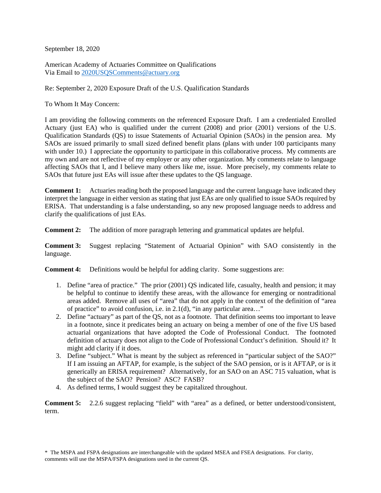September 18, 2020

American Academy of Actuaries Committee on Qualifications Via Email to 2020USQSComments@actuary.org

Re: September 2, 2020 Exposure Draft of the U.S. Qualification Standards

To Whom It May Concern:

I am providing the following comments on the referenced Exposure Draft. I am a credentialed Enrolled Actuary (just EA) who is qualified under the current (2008) and prior (2001) versions of the U.S. Qualification Standards (QS) to issue Statements of Actuarial Opinion (SAOs) in the pension area. My SAOs are issued primarily to small sized defined benefit plans (plans with under 100 participants many with under 10.) I appreciate the opportunity to participate in this collaborative process. My comments are my own and are not reflective of my employer or any other organization. My comments relate to language affecting SAOs that I, and I believe many others like me, issue. More precisely, my comments relate to SAOs that future just EAs will issue after these updates to the QS language.

**Comment 1:** Actuaries reading both the proposed language and the current language have indicated they interpret the language in either version as stating that just EAs are only qualified to issue SAOs required by ERISA. That understanding is a false understanding, so any new proposed language needs to address and clarify the qualifications of just EAs.

**Comment 2:** The addition of more paragraph lettering and grammatical updates are helpful.

**Comment 3:** Suggest replacing "Statement of Actuarial Opinion" with SAO consistently in the language.

**Comment 4:** Definitions would be helpful for adding clarity. Some suggestions are:

- 1. Define "area of practice." The prior (2001) QS indicated life, casualty, health and pension; it may be helpful to continue to identify these areas, with the allowance for emerging or nontraditional areas added. Remove all uses of "area" that do not apply in the context of the definition of "area of practice" to avoid confusion, i.e. in 2.1(d), "in any particular area…"
- 2. Define "actuary" as part of the QS, not as a footnote. That definition seems too important to leave in a footnote, since it predicates being an actuary on being a member of one of the five US based actuarial organizations that have adopted the Code of Professional Conduct. The footnoted definition of actuary does not align to the Code of Professional Conduct's definition. Should it? It might add clarity if it does.
- 3. Define "subject." What is meant by the subject as referenced in "particular subject of the SAO?" If I am issuing an AFTAP, for example, is the subject of the SAO pension, or is it AFTAP, or is it generically an ERISA requirement? Alternatively, for an SAO on an ASC 715 valuation, what is the subject of the SAO? Pension? ASC? FASB?
- 4. As defined terms, I would suggest they be capitalized throughout.

**Comment 5:** 2.2.6 suggest replacing "field" with "area" as a defined, or better understood/consistent, term.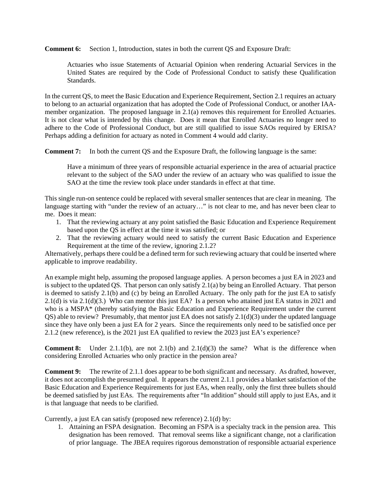**Comment 6:** Section 1, Introduction, states in both the current QS and Exposure Draft:

Actuaries who issue Statements of Actuarial Opinion when rendering Actuarial Services in the United States are required by the Code of Professional Conduct to satisfy these Qualification Standards.

In the current QS, to meet the Basic Education and Experience Requirement, Section 2.1 requires an actuary to belong to an actuarial organization that has adopted the Code of Professional Conduct, or another IAAmember organization. The proposed language in 2.1(a) removes this requirement for Enrolled Actuaries. It is not clear what is intended by this change. Does it mean that Enrolled Actuaries no longer need to adhere to the Code of Professional Conduct, but are still qualified to issue SAOs required by ERISA? Perhaps adding a definition for actuary as noted in Comment 4 would add clarity.

**Comment 7:** In both the current QS and the Exposure Draft, the following language is the same:

Have a minimum of three years of responsible actuarial experience in the area of actuarial practice relevant to the subject of the SAO under the review of an actuary who was qualified to issue the SAO at the time the review took place under standards in effect at that time.

This single run-on sentence could be replaced with several smaller sentences that are clear in meaning. The language starting with "under the review of an actuary..." is not clear to me, and has never been clear to me. Does it mean:

- 1. That the reviewing actuary at any point satisfied the Basic Education and Experience Requirement based upon the QS in effect at the time it was satisfied; or
- 2. That the reviewing actuary would need to satisfy the current Basic Education and Experience Requirement at the time of the review, ignoring 2.1.2?

Alternatively, perhaps there could be a defined term for such reviewing actuary that could be inserted where applicable to improve readability.

An example might help, assuming the proposed language applies. A person becomes a just EA in 2023 and is subject to the updated QS. That person can only satisfy 2.1(a) by being an Enrolled Actuary. That person is deemed to satisfy 2.1(b) and (c) by being an Enrolled Actuary. The only path for the just EA to satisfy 2.1(d) is via 2.1(d)(3.) Who can mentor this just EA? Is a person who attained just EA status in 2021 and who is a MSPA\* (thereby satisfying the Basic Education and Experience Requirement under the current QS) able to review? Presumably, that mentor just EA does not satisfy 2.1(d)(3) under the updated language since they have only been a just EA for 2 years. Since the requirements only need to be satisfied once per 2.1.2 (new reference), is the 2021 just EA qualified to review the 2023 just EA's experience?

**Comment 8:** Under 2.1.1(b), are not 2.1(b) and 2.1(d)(3) the same? What is the difference when considering Enrolled Actuaries who only practice in the pension area?

**Comment 9:** The rewrite of 2.1.1 does appear to be both significant and necessary. As drafted, however, it does not accomplish the presumed goal. It appears the current 2.1.1 provides a blanket satisfaction of the Basic Education and Experience Requirements for just EAs, when really, only the first three bullets should be deemed satisfied by just EAs. The requirements after "In addition" should still apply to just EAs, and it is that language that needs to be clarified.

Currently, a just EA can satisfy (proposed new reference) 2.1(d) by:

1. Attaining an FSPA designation. Becoming an FSPA is a specialty track in the pension area. This designation has been removed. That removal seems like a significant change, not a clarification of prior language. The JBEA requires rigorous demonstration of responsible actuarial experience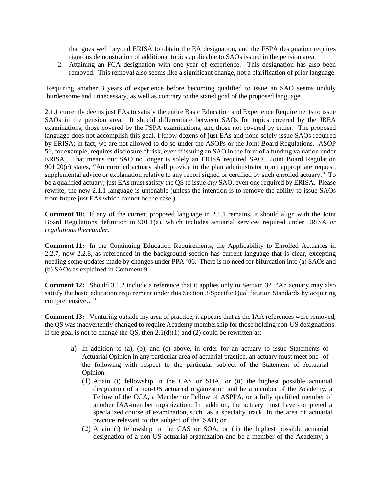that goes well beyond ERISA to obtain the EA designation, and the FSPA designation requires rigorous demonstration of additional topics applicable to SAOs issued in the pension area.

2. Attaining an FCA designation with one year of experience. This designation has also been removed. This removal also seems like a significant change, not a clarification of prior language.

Requiring another 3 years of experience before becoming qualified to issue an SAO seems unduly burdensome and unnecessary, as well as contrary to the stated goal of the proposed language.

2.1.1 currently deems just EAs to satisfy the entire Basic Education and Experience Requirements to issue SAOs in the pension area. It should differentiate between SAOs for topics covered by the JBEA examinations, those covered by the FSPA examinations, and those not covered by either. The proposed language does not accomplish this goal. I know dozens of just EAs and none solely issue SAOs required by ERISA; in fact, we are not allowed to do so under the ASOPs or the Joint Board Regulations. ASOP 51, for example, requires disclosure of risk, even if issuing an SAO in the form of a funding valuation under ERISA. That means our SAO no longer is solely an ERISA required SAO. Joint Board Regulation 901.20(c) states, "An enrolled actuary shall provide to the plan administrator upon appropriate request, supplemental advice or explanation relative to any report signed or certified by such enrolled actuary." To be a qualified actuary, just EAs must satisfy the QS to issue *any* SAO, even one required by ERISA. Please rewrite; the new 2.1.1 language is untenable (unless the intention is to remove the ability to issue SAOs from future just EAs which cannot be the case.)

**Comment 10:** If any of the current proposed language in 2.1.1 remains, it should align with the Joint Board Regulations definition in 901.1(a), which includes actuarial services required under ERISA *or regulations thereunder*.

**Comment 11:** In the Continuing Education Requirements, the Applicability to Enrolled Actuaries in 2.2.7, now 2.2.8, as referenced in the background section has current language that is clear, excepting needing some updates made by changes under PPA '06. There is no need for bifurcation into (a) SAOs and (b) SAOs as explained in Comment 9.

**Comment 12:** Should 3.1.2 include a reference that it applies only to Section 3? "An actuary may also satisfy the basic education requirement under this Section 3/Specific Qualification Standards by acquiring comprehensive…"

**Comment 13:** Venturing outside my area of practice, it appears that as the IAA references were removed, the QS was inadvertently changed to require Academy membership for those holding non-US designations. If the goal is not to change the QS, then  $2.1(d)(1)$  and (2) could be rewritten as:

- a) In addition to (a), (b), and (c) above, in order for an actuary to issue Statements of Actuarial Opinion in any particular area of actuarial practice, an actuary must meet one of the following with respect to the particular subject of the Statement of Actuarial Opinion:
	- (1) Attain (i) fellowship in the CAS or SOA, or (ii) the highest possible actuarial designation of a non-US actuarial organization and be a member of the Academy, a Fellow of the CCA, a Member or Fellow of ASPPA, or a fully qualified member of another IAA-member organization. In addition, the actuary must have completed a specialized course of examination, such as a specialty track, in the area of actuarial practice relevant to the subject of the SAO; or
	- (2) Attain (i) fellowship in the CAS or SOA, or (ii) the highest possible actuarial designation of a non-US actuarial organization and be a member of the Academy, a